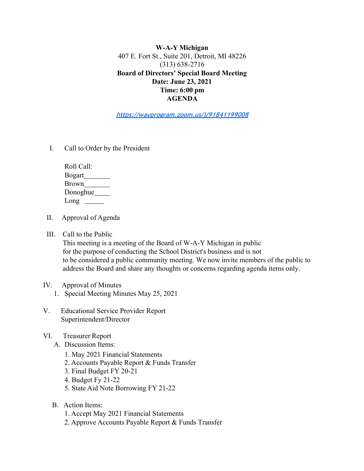**W-A-Y Michigan** 407 E. Fort St., Suite 201, Detroit, MI 48226 (313) 638-2716 **Board of Directors' Special Board Meeting Date: June 23, 2021 Time: 6:00 pm AGENDA**

**https://wayprogram.zoom.us/j/91841199008**

I. Call to Order by the President

| Roll Call:    |
|---------------|
| <b>Bogart</b> |
| <b>Brown</b>  |
| Donoghue      |
| Long          |

- II. Approval of Agenda
- III. Call to the Public

This meeting is a meeting of the Board of W-A-Y Michigan in public for the purpose of conducting the School District's business and is not to be considered a public community meeting. We now invite members of the public to address the Board and share any thoughts or concerns regarding agenda items only.

# IV. Approval of Minutes

- 1. Special Meeting Minutes May 25, 2021
- V. Educational Service Provider Report Superintendent/Director
- VI. Treasurer Report
	- A. Discussion Items:
		- 1. May 2021 Financial Statements
		- 2. Accounts Payable Report & Funds Transfer
		- 3. Final Budget FY 20-21
		- 4. Budget Fy 21-22
		- 5. State Aid Note Borrowing FY 21-22
	- B. Action Items:
		- 1. Accept May 2021 Financial Statements
		- 2. Approve Accounts Payable Report & Funds Transfer